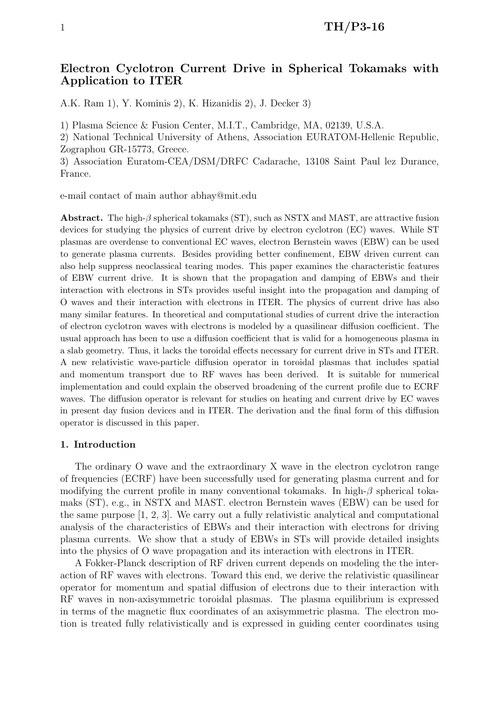# Electron Cyclotron Current Drive in Spherical Tokamaks with Application to ITER

A.K. Ram 1), Y. Kominis 2), K. Hizanidis 2), J. Decker 3)

1) Plasma Science & Fusion Center, M.I.T., Cambridge, MA, 02139, U.S.A.

2) National Technical University of Athens, Association EURATOM-Hellenic Republic, Zographou GR-15773, Greece.

3) Association Euratom-CEA/DSM/DRFC Cadarache, 13108 Saint Paul lez Durance, France.

e-mail contact of main author abhay@mit.edu

Abstract. The high- $\beta$  spherical tokamaks (ST), such as NSTX and MAST, are attractive fusion devices for studying the physics of current drive by electron cyclotron (EC) waves. While ST plasmas are overdense to conventional EC waves, electron Bernstein waves (EBW) can be used to generate plasma currents. Besides providing better confinement, EBW driven current can also help suppress neoclassical tearing modes. This paper examines the characteristic features of EBW current drive. It is shown that the propagation and damping of EBWs and their interaction with electrons in STs provides useful insight into the propagation and damping of O waves and their interaction with electrons in ITER. The physics of current drive has also many similar features. In theoretical and computational studies of current drive the interaction of electron cyclotron waves with electrons is modeled by a quasilinear diffusion coefficient. The usual approach has been to use a diffusion coefficient that is valid for a homogeneous plasma in a slab geometry. Thus, it lacks the toroidal effects necessary for current drive in STs and ITER. A new relativistic wave-particle diffusion operator in toroidal plasmas that includes spatial and momentum transport due to RF waves has been derived. It is suitable for numerical implementation and could explain the observed broadening of the current profile due to ECRF waves. The diffusion operator is relevant for studies on heating and current drive by EC waves in present day fusion devices and in ITER. The derivation and the final form of this diffusion operator is discussed in this paper.

#### 1. Introduction

The ordinary O wave and the extraordinary X wave in the electron cyclotron range of frequencies (ECRF) have been successfully used for generating plasma current and for modifying the current profile in many conventional tokamaks. In high- $\beta$  spherical tokamaks (ST), e.g., in NSTX and MAST. electron Bernstein waves (EBW) can be used for the same purpose [1, 2, 3]. We carry out a fully relativistic analytical and computational analysis of the characteristics of EBWs and their interaction with electrons for driving plasma currents. We show that a study of EBWs in STs will provide detailed insights into the physics of O wave propagation and its interaction with electrons in ITER.

A Fokker-Planck description of RF driven current depends on modeling the the interaction of RF waves with electrons. Toward this end, we derive the relativistic quasilinear operator for momentum and spatial diffusion of electrons due to their interaction with RF waves in non-axisymmetric toroidal plasmas. The plasma equilibrium is expressed in terms of the magnetic flux coordinates of an axisymmetric plasma. The electron motion is treated fully relativistically and is expressed in guiding center coordinates using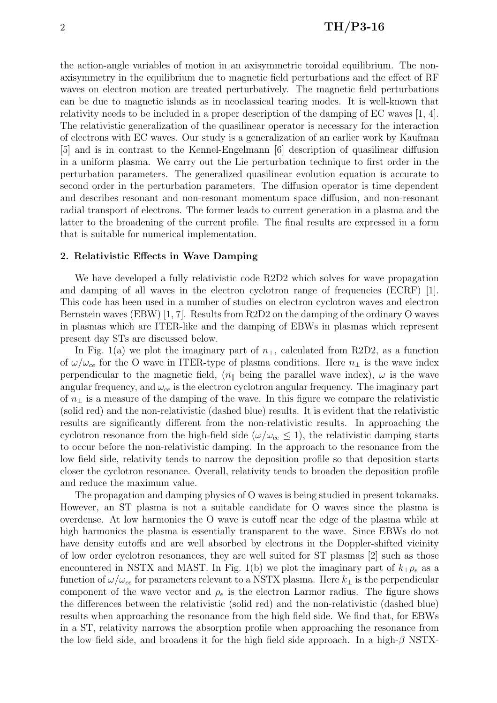the action-angle variables of motion in an axisymmetric toroidal equilibrium. The nonaxisymmetry in the equilibrium due to magnetic field perturbations and the effect of RF waves on electron motion are treated perturbatively. The magnetic field perturbations can be due to magnetic islands as in neoclassical tearing modes. It is well-known that relativity needs to be included in a proper description of the damping of EC waves [1, 4]. The relativistic generalization of the quasilinear operator is necessary for the interaction of electrons with EC waves. Our study is a generalization of an earlier work by Kaufman [5] and is in contrast to the Kennel-Engelmann [6] description of quasilinear diffusion in a uniform plasma. We carry out the Lie perturbation technique to first order in the perturbation parameters. The generalized quasilinear evolution equation is accurate to second order in the perturbation parameters. The diffusion operator is time dependent and describes resonant and non-resonant momentum space diffusion, and non-resonant radial transport of electrons. The former leads to current generation in a plasma and the latter to the broadening of the current profile. The final results are expressed in a form that is suitable for numerical implementation.

#### 2. Relativistic Effects in Wave Damping

We have developed a fully relativistic code R2D2 which solves for wave propagation and damping of all waves in the electron cyclotron range of frequencies (ECRF) [1]. This code has been used in a number of studies on electron cyclotron waves and electron Bernstein waves (EBW) [1, 7]. Results from R2D2 on the damping of the ordinary O waves in plasmas which are ITER-like and the damping of EBWs in plasmas which represent present day STs are discussed below.

In Fig. 1(a) we plot the imaginary part of  $n_{\perp}$ , calculated from R2D2, as a function of  $\omega/\omega_{ce}$  for the O wave in ITER-type of plasma conditions. Here  $n_{\perp}$  is the wave index perpendicular to the magnetic field,  $(n_{\parallel}$  being the parallel wave index),  $\omega$  is the wave angular frequency, and  $\omega_{ce}$  is the electron cyclotron angular frequency. The imaginary part of  $n_{\perp}$  is a measure of the damping of the wave. In this figure we compare the relativistic (solid red) and the non-relativistic (dashed blue) results. It is evident that the relativistic results are significantly different from the non-relativistic results. In approaching the cyclotron resonance from the high-field side ( $\omega/\omega_{ce} \leq 1$ ), the relativistic damping starts to occur before the non-relativistic damping. In the approach to the resonance from the low field side, relativity tends to narrow the deposition profile so that deposition starts closer the cyclotron resonance. Overall, relativity tends to broaden the deposition profile and reduce the maximum value.

The propagation and damping physics of O waves is being studied in present tokamaks. However, an ST plasma is not a suitable candidate for O waves since the plasma is overdense. At low harmonics the O wave is cutoff near the edge of the plasma while at high harmonics the plasma is essentially transparent to the wave. Since EBWs do not have density cutoffs and are well absorbed by electrons in the Doppler-shifted vicinity of low order cyclotron resonances, they are well suited for ST plasmas [2] such as those encountered in NSTX and MAST. In Fig. 1(b) we plot the imaginary part of  $k_{\perp} \rho_e$  as a function of  $\omega/\omega_{ce}$  for parameters relevant to a NSTX plasma. Here  $k_{\perp}$  is the perpendicular component of the wave vector and  $\rho_e$  is the electron Larmor radius. The figure shows the differences between the relativistic (solid red) and the non-relativistic (dashed blue) results when approaching the resonance from the high field side. We find that, for EBWs in a ST, relativity narrows the absorption profile when approaching the resonance from the low field side, and broadens it for the high field side approach. In a high- $\beta$  NSTX-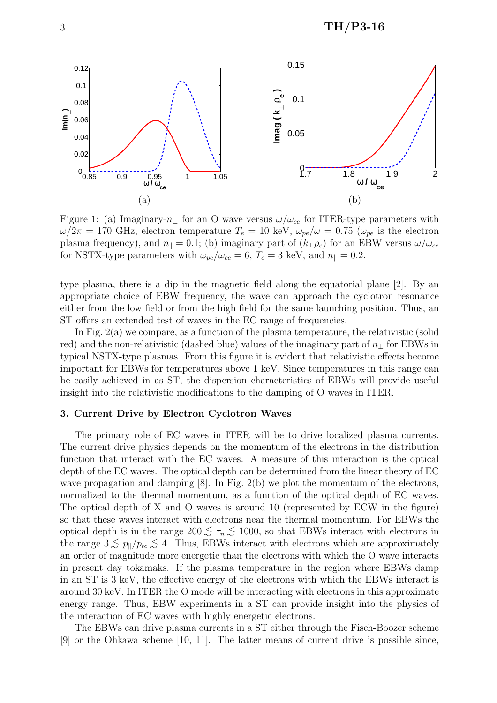

Figure 1: (a) Imaginary- $n_{\perp}$  for an O wave versus  $\omega/\omega_{ce}$  for ITER-type parameters with  $\omega/2\pi = 170$  GHz, electron temperature  $T_e = 10$  keV,  $\omega_{pe}/\omega = 0.75$  ( $\omega_{pe}$  is the electron plasma frequency), and  $n_{\parallel} = 0.1$ ; (b) imaginary part of  $(k_{\perp} \rho_e)$  for an EBW versus  $\omega/\omega_{ce}$ for NSTX-type parameters with  $\omega_{pe}/\omega_{ce} = 6$ ,  $T_e = 3$  keV, and  $n_{\parallel} = 0.2$ .

type plasma, there is a dip in the magnetic field along the equatorial plane [2]. By an appropriate choice of EBW frequency, the wave can approach the cyclotron resonance either from the low field or from the high field for the same launching position. Thus, an ST offers an extended test of waves in the EC range of frequencies.

In Fig. 2(a) we compare, as a function of the plasma temperature, the relativistic (solid red) and the non-relativistic (dashed blue) values of the imaginary part of  $n_{\perp}$  for EBWs in typical NSTX-type plasmas. From this figure it is evident that relativistic effects become important for EBWs for temperatures above 1 keV. Since temperatures in this range can be easily achieved in as ST, the dispersion characteristics of EBWs will provide useful insight into the relativistic modifications to the damping of O waves in ITER.

#### 3. Current Drive by Electron Cyclotron Waves

The primary role of EC waves in ITER will be to drive localized plasma currents. The current drive physics depends on the momentum of the electrons in the distribution function that interact with the EC waves. A measure of this interaction is the optical depth of the EC waves. The optical depth can be determined from the linear theory of EC wave propagation and damping [8]. In Fig. 2(b) we plot the momentum of the electrons, normalized to the thermal momentum, as a function of the optical depth of EC waves. The optical depth of X and O waves is around 10 (represented by ECW in the figure) so that these waves interact with electrons near the thermal momentum. For EBWs the optical depth is in the range  $200 \leq \tau_n \leq 1000$ , so that EBWs interact with electrons in the range  $3 \lesssim p_{\parallel}/p_{te} \lesssim 4$ . Thus, EBWs interact with electrons which are approximately an order of magnitude more energetic than the electrons with which the O wave interacts in present day tokamaks. If the plasma temperature in the region where EBWs damp in an ST is 3 keV, the effective energy of the electrons with which the EBWs interact is around 30 keV. In ITER the O mode will be interacting with electrons in this approximate energy range. Thus, EBW experiments in a ST can provide insight into the physics of the interaction of EC waves with highly energetic electrons.

The EBWs can drive plasma currents in a ST either through the Fisch-Boozer scheme [9] or the Ohkawa scheme [10, 11]. The latter means of current drive is possible since,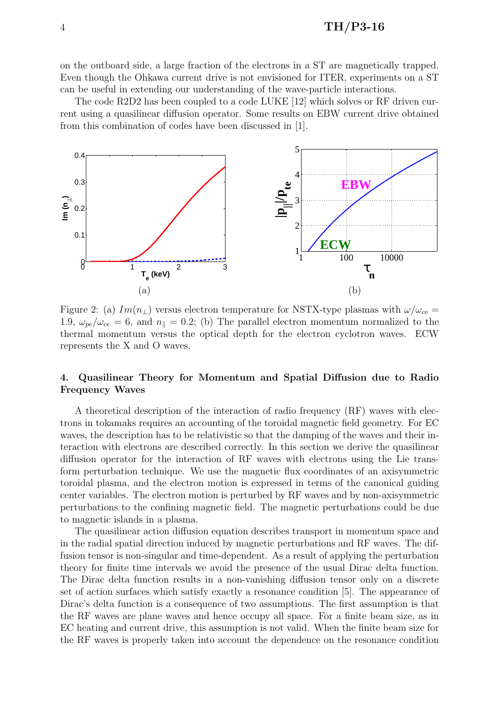on the outboard side, a large fraction of the electrons in a ST are magnetically trapped. Even though the Ohkawa current drive is not envisioned for ITER, experiments on a ST can be useful in extending our understanding of the wave-particle interactions.

The code R2D2 has been coupled to a code LUKE [12] which solves or RF driven current using a quasilinear diffusion operator. Some results on EBW current drive obtained from this combination of codes have been discussed in [1].



Figure 2: (a)  $Im(n_{\perp})$  versus electron temperature for NSTX-type plasmas with  $\omega/\omega_{ce}$ 1.9,  $\omega_{pe}/\omega_{ce} = 6$ , and  $n_{\parallel} = 0.2$ ; (b) The parallel electron momentum normalized to the thermal momentum versus the optical depth for the electron cyclotron waves. ECW represents the X and O waves.

## 4. Quasilinear Theory for Momentum and Spatial Diffusion due to Radio Frequency Waves

A theoretical description of the interaction of radio frequency (RF) waves with electrons in tokamaks requires an accounting of the toroidal magnetic field geometry. For EC waves, the description has to be relativistic so that the damping of the waves and their interaction with electrons are described correctly. In this section we derive the quasilinear diffusion operator for the interaction of RF waves with electrons using the Lie transform perturbation technique. We use the magnetic flux coordinates of an axisymmetric toroidal plasma, and the electron motion is expressed in terms of the canonical guiding center variables. The electron motion is perturbed by RF waves and by non-axisymmetric perturbations to the confining magnetic field. The magnetic perturbations could be due to magnetic islands in a plasma.

The quasilinear action diffusion equation describes transport in momentum space and in the radial spatial direction induced by magnetic perturbations and RF waves. The diffusion tensor is non-singular and time-dependent. As a result of applying the perturbation theory for finite time intervals we avoid the presence of the usual Dirac delta function. The Dirac delta function results in a non-vanishing diffusion tensor only on a discrete set of action surfaces which satisfy exactly a resonance condition [5]. The appearance of Dirac's delta function is a consequence of two assumptions. The first assumption is that the RF waves are plane waves and hence occupy all space. For a finite beam size, as in EC heating and current drive, this assumption is not valid. When the finite beam size for the RF waves is properly taken into account the dependence on the resonance condition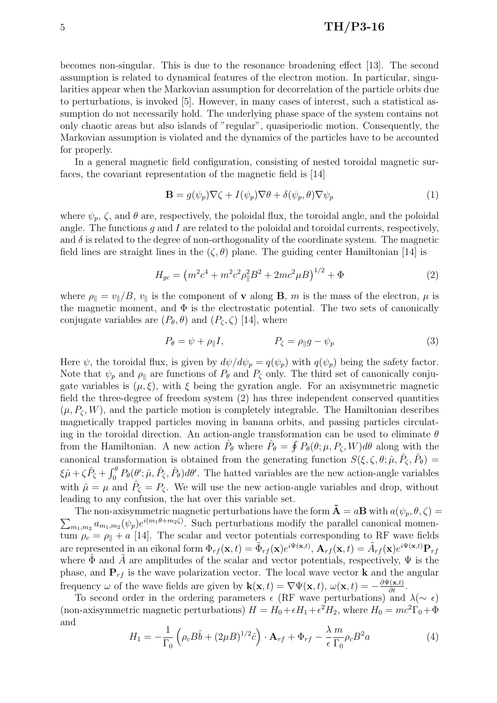## $\text{TH/P3-16}$

becomes non-singular. This is due to the resonance broadening effect [13]. The second assumption is related to dynamical features of the electron motion. In particular, singularities appear when the Markovian assumption for decorrelation of the particle orbits due to perturbations, is invoked [5]. However, in many cases of interest, such a statistical assumption do not necessarily hold. The underlying phase space of the system contains not only chaotic areas but also islands of "regular", quasiperiodic motion. Consequently, the Markovian assumption is violated and the dynamics of the particles have to be accounted for properly.

In a general magnetic field configuration, consisting of nested toroidal magnetic surfaces, the covariant representation of the magnetic field is [14]

$$
\mathbf{B} = g(\psi_p) \nabla \zeta + I(\psi_p) \nabla \theta + \delta(\psi_p, \theta) \nabla \psi_p \tag{1}
$$

where  $\psi_p$ ,  $\zeta$ , and  $\theta$  are, respectively, the poloidal flux, the toroidal angle, and the poloidal angle. The functions  $g$  and  $I$  are related to the poloidal and toroidal currents, respectively, and  $\delta$  is related to the degree of non-orthogonality of the coordinate system. The magnetic field lines are straight lines in the  $(\zeta, \theta)$  plane. The guiding center Hamiltonian [14] is

$$
H_{gc} = (m^2c^4 + m^2c^2\rho_{\parallel}^2B^2 + 2mc^2\mu B)^{1/2} + \Phi
$$
 (2)

where  $\rho_{\parallel} = v_{\parallel}/B$ ,  $v_{\parallel}$  is the component of **v** along **B**, m is the mass of the electron,  $\mu$  is the magnetic moment, and  $\Phi$  is the electrostatic potential. The two sets of canonically conjugate variables are  $(P_{\theta}, \theta)$  and  $(P_{\zeta}, \zeta)$  [14], where

$$
P_{\theta} = \psi + \rho_{\parallel} I, \qquad P_{\zeta} = \rho_{\parallel} g - \psi_p \tag{3}
$$

Here  $\psi$ , the toroidal flux, is given by  $d\psi/d\psi_p = q(\psi_p)$  with  $q(\psi_p)$  being the safety factor. Note that  $\psi_p$  and  $\rho_{\parallel}$  are functions of  $P_{\theta}$  and  $P_{\zeta}$  only. The third set of canonically conjugate variables is  $(\mu, \xi)$ , with  $\xi$  being the gyration angle. For an axisymmetric magnetic field the three-degree of freedom system (2) has three independent conserved quantities  $(\mu, P_{\zeta}, W)$ , and the particle motion is completely integrable. The Hamiltonian describes magnetically trapped particles moving in banana orbits, and passing particles circulating in the toroidal direction. An action-angle transformation can be used to eliminate  $\theta$ from the Hamiltonian. A new action  $\hat{P}_{\theta}$  where  $\hat{P}_{\theta} = \oint P_{\theta}(\theta; \mu, P_{\zeta}, W) d\theta$  along with the canonical transformation is obtained from the generating function  $S(\xi, \zeta, \theta; \hat{\mu}, \hat{P}_{\zeta}, \hat{P}_{\theta}) =$  $\xi \hat{\mu} + \zeta \hat{P}_{\zeta} +$  $\frac{1}{r}\theta$  $\int_0^{\theta} P_{\theta}(\theta'; \hat{\mu}, \hat{P}_{\zeta}, \hat{P}_{\theta}) d\theta'.$  The hatted variables are the new action-angle variables with  $\hat{\mu} = \mu$  and  $\hat{P}_{\zeta} = P_{\zeta}$ . We will use the new action-angle variables and drop, without leading to any confusion, the hat over this variable set.

 $\overline{ }$ The non-axisymmetric magnetic perturbations have the form  $\tilde{A} = aB$  with  $a(\psi_p, \theta, \zeta) =$  $_{m_1,m_2} a_{m_1,m_2}(\psi_p) e^{i(m_1\theta+m_2\zeta)}$ . Such perturbations modify the parallel canonical momentum  $\rho_c = \rho_{\parallel} + a$  [14]. The scalar and vector potentials corresponding to RF wave fields are represented in an eikonal form  $\Phi_{rf}(\mathbf{x},t) = \tilde{\Phi}_{rf}(\mathbf{x})e^{i\Psi(\mathbf{x},t)}, \mathbf{A}_{rf}(\mathbf{x},t) = \tilde{A}_{rf}(\mathbf{x})e^{i\Psi(\mathbf{x},t)}\mathbf{P}_{rf}$ where  $\tilde{\Phi}$  and  $\tilde{A}$  are amplitudes of the scalar and vector potentials, respectively,  $\Psi$  is the phase, and  $P_{rf}$  is the wave polarization vector. The local wave vector **k** and the angular frequency  $\omega$  of the wave fields are given by  $\mathbf{k}(\mathbf{x},t) = \nabla \Psi(\mathbf{x},t)$ ,  $\omega(\mathbf{x},t) = -\frac{\partial \Psi(\mathbf{x},t)}{\partial t}$ .

To second order in the ordering parameters  $\epsilon$  (RF wave perturbations) and  $\lambda(\sim \epsilon)$ (non-axisymmetric magnetic perturbations)  $H = H_0 + \epsilon H_1 + \epsilon^2 H_2$ , where  $H_0 = mc^2\Gamma_0 + \Phi$ and  $\overline{a}$ ´

$$
H_1 = -\frac{1}{\Gamma_0} \left( \rho_c B \hat{b} + (2\mu B)^{1/2} \hat{c} \right) \cdot \mathbf{A}_{rf} + \Phi_{rf} - \frac{\lambda}{\epsilon} \frac{m}{\Gamma_0} \rho_c B^2 a \tag{4}
$$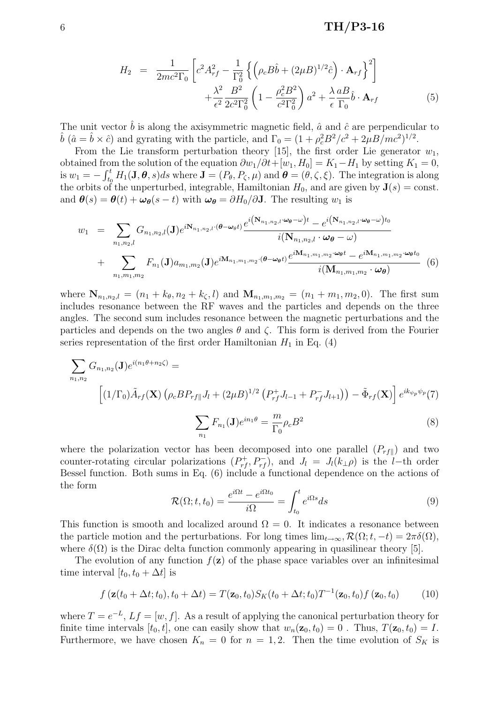## $6 \text{ TH/P3-16}$

$$
H_2 = \frac{1}{2mc^2\Gamma_0} \left[ c^2 A_{rf}^2 - \frac{1}{\Gamma_0^2} \left\{ \left( \rho_c B \hat{b} + (2\mu B)^{1/2} \hat{c} \right) \cdot \mathbf{A}_{rf} \right\}^2 \right] + \frac{\lambda^2}{\epsilon^2} \frac{B^2}{2c^2\Gamma_0^2} \left( 1 - \frac{\rho_c^2 B^2}{c^2\Gamma_0^2} \right) a^2 + \frac{\lambda}{\epsilon} \frac{a}{\Gamma_0} \hat{b} \cdot \mathbf{A}_{rf}
$$
(5)

The unit vector  $\hat{b}$  is along the axisymmetric magnetic field,  $\hat{a}$  and  $\hat{c}$  are perpendicular to  $\hat{b}$   $(\hat{a} = \hat{b} \times \hat{c})$  and gyrating with the particle, and  $\Gamma_0 = (1 + \rho_c^2 B^2/c^2 + 2\mu B/mc^2)^{1/2}$ .

From the Lie transform perturbation theory [15], the first order Lie generator  $w_1$ , obtained from the solution of the equation  $\partial w_1/\partial t+[w_1, H_0] = K_1-H_1$  by setting  $K_1 = 0$ , is  $w_1 = \frac{\Gamma}{\Gamma t}$  $\mathcal{H}_t^t$   $H_1(\mathbf{J}, \boldsymbol{\theta}, s)ds$  where  $\mathbf{J} = (P_{\theta}, P_{\zeta}, \mu)$  and  $\boldsymbol{\theta} = (\theta, \zeta, \xi)$ . The integration is along the orbits of the unperturbed, integrable, Hamiltonian  $H_0$ , and are given by  $\mathbf{J}(s) = \text{const.}$ and  $\boldsymbol{\theta}(s) = \boldsymbol{\theta}(t) + \boldsymbol{\omega}_{\boldsymbol{\theta}}(s - t)$  with  $\boldsymbol{\omega}_{\boldsymbol{\theta}} = \partial H_0 / \partial \mathbf{J}$ . The resulting  $w_1$  is

$$
w_{1} = \sum_{n_{1},n_{2},l} G_{n_{1},n_{2},l}(\mathbf{J}) e^{i\mathbf{N}_{n_{1},n_{2},l}(\boldsymbol{\theta}-\boldsymbol{\omega}_{\theta}t)} \frac{e^{i(\mathbf{N}_{n_{1},n_{2},l}\cdot\boldsymbol{\omega}_{\theta}-\boldsymbol{\omega})t} - e^{i(\mathbf{N}_{n_{1},n_{2},l}\cdot\boldsymbol{\omega}_{\theta}-\boldsymbol{\omega})t}}{i(\mathbf{N}_{n_{1},n_{2},l}\cdot\boldsymbol{\omega}_{\theta}-\boldsymbol{\omega})} + \sum_{n_{1},m_{1},m_{2}} F_{n_{1}}(\mathbf{J}) a_{m_{1},m_{2}}(\mathbf{J}) e^{i\mathbf{M}_{n_{1},m_{1},m_{2}}\cdot(\boldsymbol{\theta}-\boldsymbol{\omega}_{\theta}t)} \frac{e^{i\mathbf{M}_{n_{1},m_{1},m_{2}}\cdot\boldsymbol{\omega}_{\theta}t} - e^{i\mathbf{M}_{n_{1},m_{1},m_{2}}\cdot\boldsymbol{\omega}_{\theta}t}}{i(\mathbf{M}_{n_{1},m_{1},m_{2}}\cdot\boldsymbol{\omega}_{\theta})} \tag{6}
$$

where  $N_{n_1,n_2,l} = (n_1 + k_\theta, n_2 + k_\zeta, l)$  and  $M_{n_1,m_1,m_2} = (n_1 + m_1, m_2, 0)$ . The first sum includes resonance between the RF waves and the particles and depends on the three angles. The second sum includes resonance between the magnetic perturbations and the particles and depends on the two angles  $\theta$  and  $\zeta$ . This form is derived from the Fourier series representation of the first order Hamiltonian  $H_1$  in Eq. (4)

$$
\sum_{n_1,n_2} G_{n_1,n_2}(\mathbf{J}) e^{i(n_1\theta+n_2\zeta)} =
$$
\n
$$
\left[ (1/\Gamma_0) \tilde{A}_{rf}(\mathbf{X}) \left( \rho_c B P_{rf} | J_l + (2\mu B)^{1/2} \left( P_{rf}^+ J_{l-1} + P_{rf}^- J_{l+1} \right) \right) - \tilde{\Phi}_{rf}(\mathbf{X}) \right] e^{ik_{\psi_p}\psi_p}(\mathbf{7})
$$
\n
$$
\sum_{n_1} F_{n_1}(\mathbf{J}) e^{in_1\theta} = \frac{m}{\Gamma_0} \rho_c B^2
$$
\n(8)

where the polarization vector has been decomposed into one parallel  $(P_{rf\parallel})$  and two counter-rotating circular polarizations  $(P_{rf}^+, P_{rf}^-)$ , and  $J_l = J_l(k_{\perp}\rho)$  is the l-th order Bessel function. Both sums in Eq. (6) include a functional dependence on the actions of the form  $\overline{r}$ 

 $n_1$ 

$$
\mathcal{R}(\Omega; t, t_0) = \frac{e^{i\Omega t} - e^{i\Omega t_0}}{i\Omega} = \int_{t_0}^t e^{i\Omega s} ds \tag{9}
$$

This function is smooth and localized around  $\Omega = 0$ . It indicates a resonance between the particle motion and the perturbations. For long times  $\lim_{t\to\infty} \mathcal{R}(\Omega; t, -t) = 2\pi\delta(\Omega)$ , where  $\delta(\Omega)$  is the Dirac delta function commonly appearing in quasilinear theory [5].

The evolution of any function  $f(\mathbf{z})$  of the phase space variables over an infinitesimal time interval  $[t_0, t_0 + \Delta t]$  is

$$
f\left(\mathbf{z}(t_0 + \Delta t; t_0), t_0 + \Delta t\right) = T(\mathbf{z}_0, t_0)S_K(t_0 + \Delta t; t_0)T^{-1}(\mathbf{z}_0, t_0)f\left(\mathbf{z}_0, t_0\right) \tag{10}
$$

where  $T = e^{-L}$ ,  $Lf = [w, f]$ . As a result of applying the canonical perturbation theory for finite time intervals  $[t_0, t]$ , one can easily show that  $w_n(\mathbf{z}_0, t_0) = 0$ . Thus,  $T(\mathbf{z}_0, t_0) = I$ . Furthermore, we have chosen  $K_n = 0$  for  $n = 1, 2$ . Then the time evolution of  $S_K$  is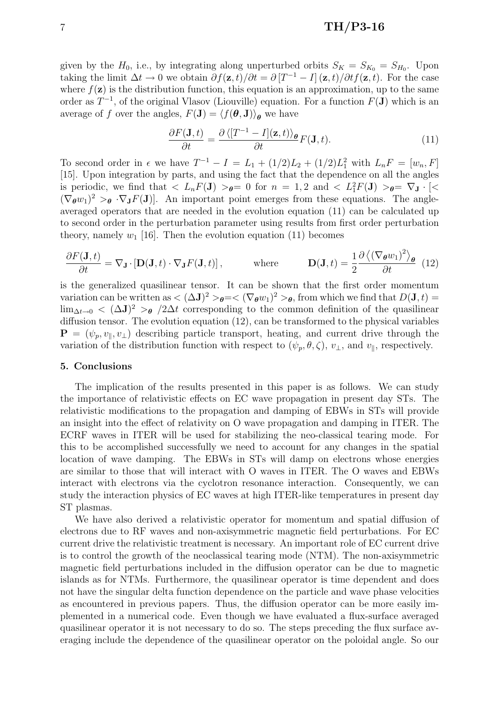### $7 \text{ TH/P3-16}$

given by the  $H_0$ , i.e., by integrating along unperturbed orbits  $S_K = S_{K_0} = S_{H_0}$ . Upon taking the limit  $\Delta t \to 0$  we obtain  $\partial f(\mathbf{z}, t)/\partial t = \partial [T^{-1} - I](\mathbf{z}, t)/\partial t f(\mathbf{z}, t)$ . For the case where  $f(\mathbf{z})$  is the distribution function, this equation is an approximation, up to the same order as  $T^{-1}$ , of the original Vlasov (Liouville) equation. For a function  $F(\mathbf{J})$  which is an average of f over the angles,  $F(\mathbf{J}) = \langle f(\boldsymbol{\theta}, \mathbf{J}) \rangle_{\boldsymbol{\theta}}$  we have

$$
\frac{\partial F(\mathbf{J},t)}{\partial t} = \frac{\partial \left\langle [T^{-1} - I](\mathbf{z},t) \right\rangle_{\theta}}{\partial t} F(\mathbf{J},t). \tag{11}
$$

To second order in  $\epsilon$  we have  $T^{-1} - I = L_1 + (1/2)L_2 + (1/2)L_1^2$  with  $L_nF = [w_n, F]$ [15]. Upon integration by parts, and using the fact that the dependence on all the angles is periodic, we find that  $\langle L_n F(\mathbf{J}) \rangle_{\theta} = 0$  for  $n = 1, 2$  and  $\langle L_1^2 F(\mathbf{J}) \rangle_{\theta} = \nabla_{\mathbf{J}} \cdot [\langle \mathbf{J} \rangle_{\theta}]$  $(\nabla_{\theta} w_1)^2 >_{\theta} \cdot \nabla_{\mathbf{J}} F(\mathbf{J})$ . An important point emerges from these equations. The angleaveraged operators that are needed in the evolution equation (11) can be calculated up to second order in the perturbation parameter using results from first order perturbation theory, namely  $w_1$  [16]. Then the evolution equation (11) becomes

$$
\frac{\partial F(\mathbf{J},t)}{\partial t} = \nabla_{\mathbf{J}} \cdot \left[ \mathbf{D}(\mathbf{J},t) \cdot \nabla_{\mathbf{J}} F(\mathbf{J},t) \right], \quad \text{where} \quad \mathbf{D}(\mathbf{J},t) = \frac{1}{2} \frac{\partial \left\langle \left( \nabla_{\boldsymbol{\theta}} w_1 \right)^2 \right\rangle_{\boldsymbol{\theta}}}{\partial t} \tag{12}
$$

is the generalized quasilinear tensor. It can be shown that the first order momentum variation can be written as  $<(\Delta J)^2>_{\theta}=<(\nabla_{\theta}w_1)^2>_{\theta}$ , from which we find that  $D(J, t)$  $\lim_{\Delta t \to 0}$  <  $(\Delta J)^2 >_{\theta}$  /2 $\Delta t$  corresponding to the common definition of the quasilinear diffusion tensor. The evolution equation (12), can be transformed to the physical variables  $\mathbf{P} = (\psi_n, v_{\parallel}, v_{\perp})$  describing particle transport, heating, and current drive through the variation of the distribution function with respect to  $(\psi_p, \theta, \zeta), v_\perp$ , and  $v_\parallel$ , respectively.

#### 5. Conclusions

The implication of the results presented in this paper is as follows. We can study the importance of relativistic effects on EC wave propagation in present day STs. The relativistic modifications to the propagation and damping of EBWs in STs will provide an insight into the effect of relativity on O wave propagation and damping in ITER. The ECRF waves in ITER will be used for stabilizing the neo-classical tearing mode. For this to be accomplished successfully we need to account for any changes in the spatial location of wave damping. The EBWs in STs will damp on electrons whose energies are similar to those that will interact with O waves in ITER. The O waves and EBWs interact with electrons via the cyclotron resonance interaction. Consequently, we can study the interaction physics of EC waves at high ITER-like temperatures in present day ST plasmas.

We have also derived a relativistic operator for momentum and spatial diffusion of electrons due to RF waves and non-axisymmetric magnetic field perturbations. For EC current drive the relativistic treatment is necessary. An important role of EC current drive is to control the growth of the neoclassical tearing mode (NTM). The non-axisymmetric magnetic field perturbations included in the diffusion operator can be due to magnetic islands as for NTMs. Furthermore, the quasilinear operator is time dependent and does not have the singular delta function dependence on the particle and wave phase velocities as encountered in previous papers. Thus, the diffusion operator can be more easily implemented in a numerical code. Even though we have evaluated a flux-surface averaged quasilinear operator it is not necessary to do so. The steps preceding the flux surface averaging include the dependence of the quasilinear operator on the poloidal angle. So our